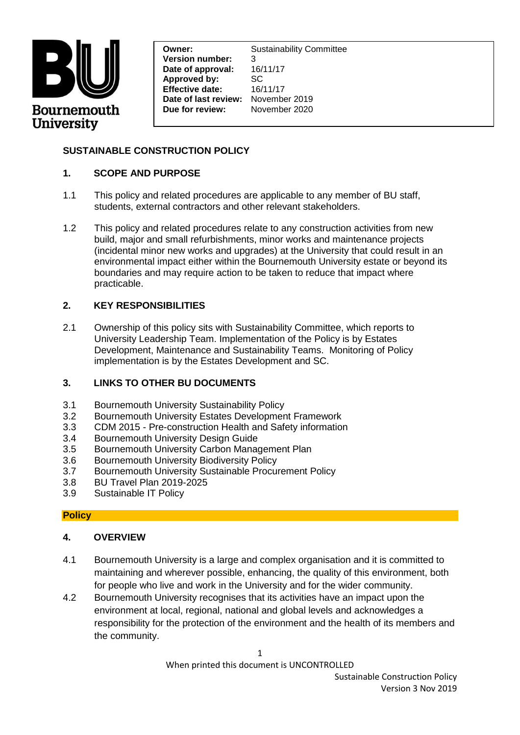

**Effective date:** 16/11/17<br>**Date of last review:** November 2019 **Owner:** Sustainability Committee **Version number:** 3 **Date of approval:** 16/11/17 **Approved by:** SC **Effective date:** 16/11/17 **Due for review:** November 2020

## **SUSTAINABLE CONSTRUCTION POLICY**

#### **1. SCOPE AND PURPOSE**

- 1.1 This policy and related procedures are applicable to any member of BU staff, students, external contractors and other relevant stakeholders.
- 1.2 This policy and related procedures relate to any construction activities from new build, major and small refurbishments, minor works and maintenance projects (incidental minor new works and upgrades) at the University that could result in an environmental impact either within the Bournemouth University estate or beyond its boundaries and may require action to be taken to reduce that impact where practicable.

## **2. KEY RESPONSIBILITIES**

2.1 Ownership of this policy sits with Sustainability Committee, which reports to University Leadership Team. Implementation of the Policy is by Estates Development, Maintenance and Sustainability Teams. Monitoring of Policy implementation is by the Estates Development and SC.

## **3. LINKS TO OTHER BU DOCUMENTS**

- 3.1 Bournemouth University Sustainability Policy
- 3.2 Bournemouth University Estates Development Framework
- 3.3 CDM 2015 Pre-construction Health and Safety information
- 3.4 Bournemouth University Design Guide
- 3.5 Bournemouth University Carbon Management Plan
- 3.6 Bournemouth University Biodiversity Policy
- 3.7 Bournemouth University Sustainable Procurement Policy
- 3.8 BU Travel Plan 2019-2025
- 3.9 Sustainable IT Policy

## **Policy**

## **4. OVERVIEW**

- 4.1 Bournemouth University is a large and complex organisation and it is committed to maintaining and wherever possible, enhancing, the quality of this environment, both for people who live and work in the University and for the wider community.
- 4.2 Bournemouth University recognises that its activities have an impact upon the environment at local, regional, national and global levels and acknowledges a responsibility for the protection of the environment and the health of its members and the community.

When printed this document is UNCONTROLLED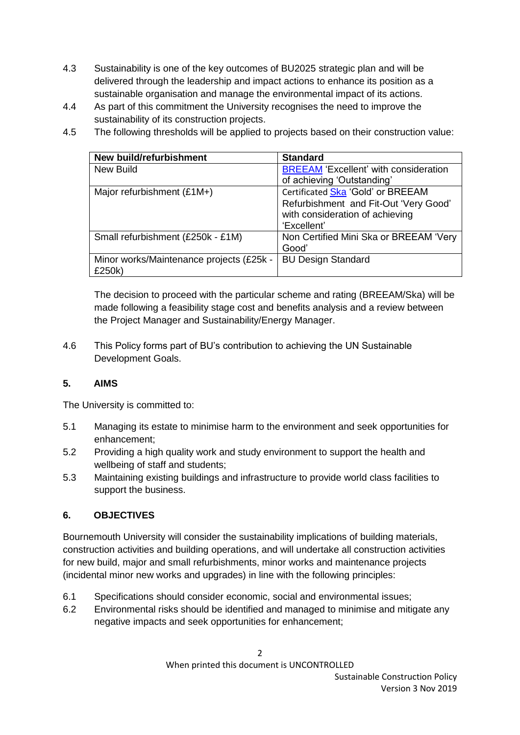- 4.3 Sustainability is one of the key outcomes of BU2025 strategic plan and will be delivered through the leadership and impact actions to enhance its position as a sustainable organisation and manage the environmental impact of its actions.
- 4.4 As part of this commitment the University recognises the need to improve the sustainability of its construction projects.
- 4.5 The following thresholds will be applied to projects based on their construction value:

| New build/refurbishment                  | <b>Standard</b>                              |
|------------------------------------------|----------------------------------------------|
| New Build                                | <b>BREEAM 'Excellent' with consideration</b> |
|                                          | of achieving 'Outstanding'                   |
| Major refurbishment (£1M+)               | Certificated Ska 'Gold' or BREEAM            |
|                                          | Refurbishment and Fit-Out 'Very Good'        |
|                                          | with consideration of achieving              |
|                                          | 'Excellent'                                  |
| Small refurbishment (£250k - £1M)        | Non Certified Mini Ska or BREEAM 'Very       |
|                                          | Good'                                        |
| Minor works/Maintenance projects (£25k - | <b>BU Design Standard</b>                    |
| £250k)                                   |                                              |

The decision to proceed with the particular scheme and rating (BREEAM/Ska) will be made following a feasibility stage cost and benefits analysis and a review between the Project Manager and Sustainability/Energy Manager.

4.6 This Policy forms part of BU's contribution to achieving the UN Sustainable Development Goals.

## **5. AIMS**

The University is committed to:

- 5.1 Managing its estate to minimise harm to the environment and seek opportunities for enhancement;
- 5.2 Providing a high quality work and study environment to support the health and wellbeing of staff and students;
- 5.3 Maintaining existing buildings and infrastructure to provide world class facilities to support the business.

## **6. OBJECTIVES**

Bournemouth University will consider the sustainability implications of building materials, construction activities and building operations, and will undertake all construction activities for new build, major and small refurbishments, minor works and maintenance projects (incidental minor new works and upgrades) in line with the following principles:

- 6.1 Specifications should consider economic, social and environmental issues;
- 6.2 Environmental risks should be identified and managed to minimise and mitigate any negative impacts and seek opportunities for enhancement;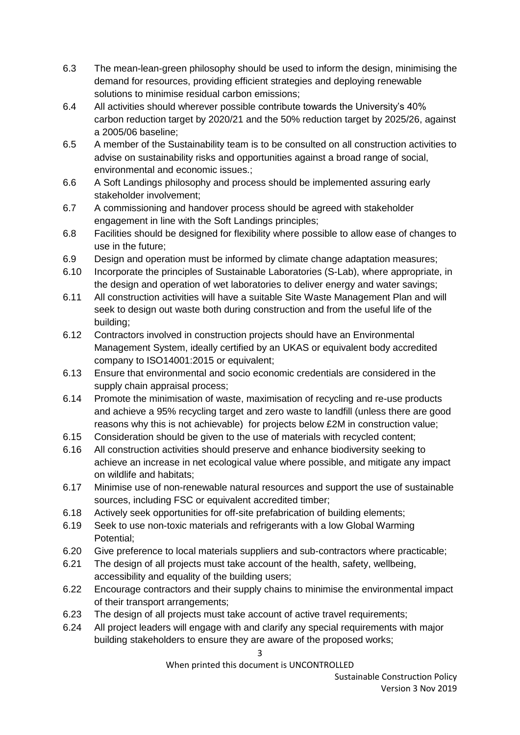- 6.3 The mean-lean-green philosophy should be used to inform the design, minimising the demand for resources, providing efficient strategies and deploying renewable solutions to minimise residual carbon emissions;
- 6.4 All activities should wherever possible contribute towards the University's 40% carbon reduction target by 2020/21 and the 50% reduction target by 2025/26, against a 2005/06 baseline;
- 6.5 A member of the Sustainability team is to be consulted on all construction activities to advise on sustainability risks and opportunities against a broad range of social, environmental and economic issues.;
- 6.6 A Soft Landings philosophy and process should be implemented assuring early stakeholder involvement;
- 6.7 A commissioning and handover process should be agreed with stakeholder engagement in line with the Soft Landings principles;
- 6.8 Facilities should be designed for flexibility where possible to allow ease of changes to use in the future;
- 6.9 Design and operation must be informed by climate change adaptation measures;
- 6.10 Incorporate the principles of Sustainable Laboratories (S-Lab), where appropriate, in the design and operation of wet laboratories to deliver energy and water savings;
- 6.11 All construction activities will have a suitable Site Waste Management Plan and will seek to design out waste both during construction and from the useful life of the building;
- 6.12 Contractors involved in construction projects should have an Environmental Management System, ideally certified by an UKAS or equivalent body accredited company to ISO14001:2015 or equivalent;
- 6.13 Ensure that environmental and socio economic credentials are considered in the supply chain appraisal process;
- 6.14 Promote the minimisation of waste, maximisation of recycling and re-use products and achieve a 95% recycling target and zero waste to landfill (unless there are good reasons why this is not achievable) for projects below £2M in construction value;
- 6.15 Consideration should be given to the use of materials with recycled content;
- 6.16 All construction activities should preserve and enhance biodiversity seeking to achieve an increase in net ecological value where possible, and mitigate any impact on wildlife and habitats;
- 6.17 Minimise use of non-renewable natural resources and support the use of sustainable sources, including FSC or equivalent accredited timber;
- 6.18 Actively seek opportunities for off-site prefabrication of building elements;
- 6.19 Seek to use non-toxic materials and refrigerants with a low Global Warming Potential;
- 6.20 Give preference to local materials suppliers and sub-contractors where practicable;
- 6.21 The design of all projects must take account of the health, safety, wellbeing, accessibility and equality of the building users;
- 6.22 Encourage contractors and their supply chains to minimise the environmental impact of their transport arrangements;
- 6.23 The design of all projects must take account of active travel requirements;
- 6.24 All project leaders will engage with and clarify any special requirements with major building stakeholders to ensure they are aware of the proposed works;

When printed this document is UNCONTROLLED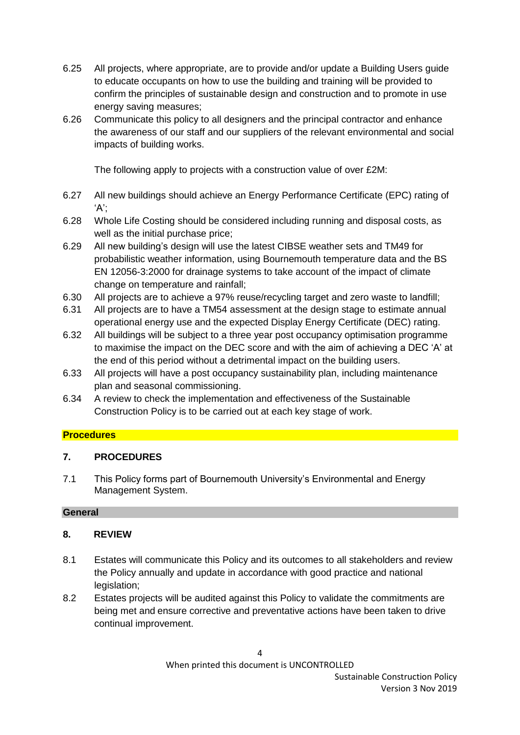- 6.25 All projects, where appropriate, are to provide and/or update a Building Users guide to educate occupants on how to use the building and training will be provided to confirm the principles of sustainable design and construction and to promote in use energy saving measures;
- 6.26 Communicate this policy to all designers and the principal contractor and enhance the awareness of our staff and our suppliers of the relevant environmental and social impacts of building works.

The following apply to projects with a construction value of over £2M:

- 6.27 All new buildings should achieve an Energy Performance Certificate (EPC) rating of 'A';
- 6.28 Whole Life Costing should be considered including running and disposal costs, as well as the initial purchase price;
- 6.29 All new building's design will use the latest CIBSE weather sets and TM49 for probabilistic weather information, using Bournemouth temperature data and the BS EN 12056-3:2000 for drainage systems to take account of the impact of climate change on temperature and rainfall;
- 6.30 All projects are to achieve a 97% reuse/recycling target and zero waste to landfill;
- 6.31 All projects are to have a TM54 assessment at the design stage to estimate annual operational energy use and the expected Display Energy Certificate (DEC) rating.
- 6.32 All buildings will be subject to a three year post occupancy optimisation programme to maximise the impact on the DEC score and with the aim of achieving a DEC 'A' at the end of this period without a detrimental impact on the building users.
- 6.33 All projects will have a post occupancy sustainability plan, including maintenance plan and seasonal commissioning.
- 6.34 A review to check the implementation and effectiveness of the Sustainable Construction Policy is to be carried out at each key stage of work.

#### **Procedures**

#### **7. PROCEDURES**

7.1 This Policy forms part of Bournemouth University's Environmental and Energy Management System.

#### **General**

#### **8. REVIEW**

- 8.1 Estates will communicate this Policy and its outcomes to all stakeholders and review the Policy annually and update in accordance with good practice and national legislation;
- 8.2 Estates projects will be audited against this Policy to validate the commitments are being met and ensure corrective and preventative actions have been taken to drive continual improvement.